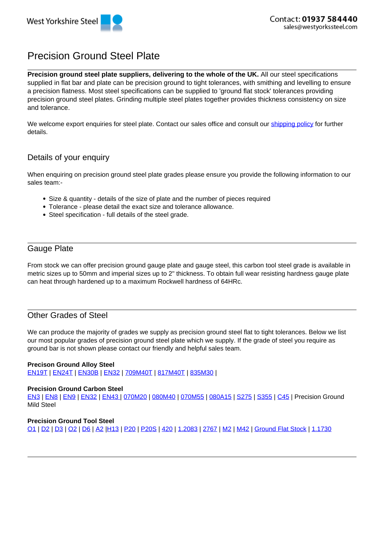# Precision Ground Steel Plate

**Precision ground steel plate suppliers, delivering to the whole of the UK.** All our steel specifications supplied in flat bar and plate can be precision ground to tight tolerances, with smithing and levelling to ensure a precision flatness. Most steel specifications can be supplied to 'ground flat stock' tolerances providing precision ground steel plates. Grinding multiple steel plates together provides thickness consistency on size and tolerance.

We welcome export enquiries for steel plate. Contact our sales office and consult our shipping policy for further details.

# Details of your enquiry

When enquiring on precision ground steel plate grades please ensure you provide the following information to our sales team:-

- Size & quantity details of the size of plate and the number of pieces required
- Tolerance please detail the exact size and tolerance allowance.
- Steel specification full details of the steel grade.

## Gauge Plate

From stock we can offer precision ground gauge plate and gauge steel, this carbon tool steel grade is available in metric sizes up to 50mm and imperial sizes up to 2" thickness. To obtain full wear resisting hardness gauge plate can heat through hardened up to a maximum Rockwell hardness of 64HRc.

## Other Grades of Steel

We can produce the majority of grades we supply as precision ground steel flat to tight tolerances. Below we list our most popular grades of precision ground steel plate which we supply. If the grade of steel you require as ground bar is not shown please contact our friendly and helpful sales team.

#### **Precison Ground Alloy Steel**

EN19T | EN24T | EN30B | EN32 | 709M40T | 817M40T | 835M30 |

#### **Precision Ground Carbon Steel**

EN3 | EN8 | EN9 | EN32 | EN43 | 070M20 | 080M40 | 070M55 | 080A15 | S275 | S355 | C45 | Precision Ground Mild Steel

#### **Precision Ground Tool Steel**

O1 | D2 | D3 | O2 | D6 | A2 |H13 | P20 | P20S | 420 | 1.2083 | 2767 | M2 | M42 | Ground Flat Stock | 1.1730